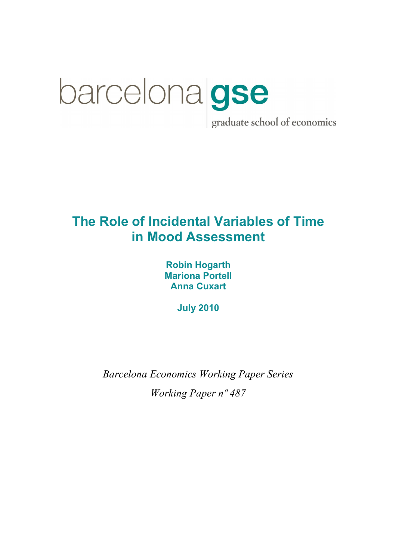# barcelona gse graduate school of economics

# The Role of Incidental Variables of Time in Mood Assessment

Robin Hogarth Mariona Portell Anna Cuxart

July 2010

Barcelona Economics Working Paper Series Working Paper nº 487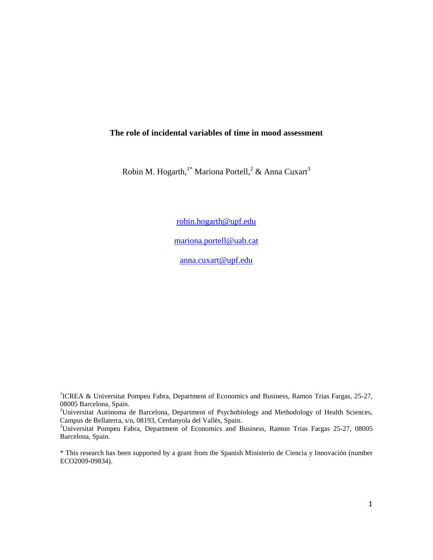# **The role of incidental variables of time in mood assessment**

Robin M. Hogarth,<sup>1\*</sup> Mariona Portell,<sup>2</sup> & Anna Cuxart<sup>3</sup>

robin.hogarth@upf.edu

mariona.portell@uab.cat

anna.cuxart@upf.edu

<sup>1</sup>ICREA & Universitat Pompeu Fabra, Department of Economics and Business, Ramon Trias Fargas, 25-27, 08005 Barcelona, Spain.

<sup>2</sup>Universitat Autònoma de Barcelona, Department of Psychobiology and Methodology of Health Sciences, Campus de Bellaterra, s/n, 08193, Cerdanyola del Vallès, Spain.

<sup>3</sup>Universitat Pompeu Fabra, Department of Economics and Business, Ramon Trias Fargas 25-27, 08005 Barcelona, Spain.

\* This research has been supported by a grant from the Spanish Ministerio de Ciencia y Innovación (number ECO2009-09834).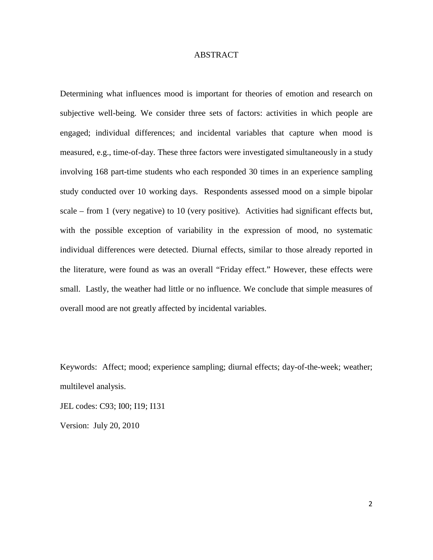# **ABSTRACT**

Determining what influences mood is important for theories of emotion and research on subjective well-being. We consider three sets of factors: activities in which people are engaged; individual differences; and incidental variables that capture when mood is measured, e.g., time-of-day. These three factors were investigated simultaneously in a study involving 168 part-time students who each responded 30 times in an experience sampling study conducted over 10 working days. Respondents assessed mood on a simple bipolar scale – from 1 (very negative) to 10 (very positive). Activities had significant effects but, with the possible exception of variability in the expression of mood, no systematic individual differences were detected. Diurnal effects, similar to those already reported in the literature, were found as was an overall "Friday effect." However, these effects were small. Lastly, the weather had little or no influence. We conclude that simple measures of overall mood are not greatly affected by incidental variables.

Keywords: Affect; mood; experience sampling; diurnal effects; day-of-the-week; weather; multilevel analysis.

JEL codes: C93; I00; I19; I131

Version: July 20, 2010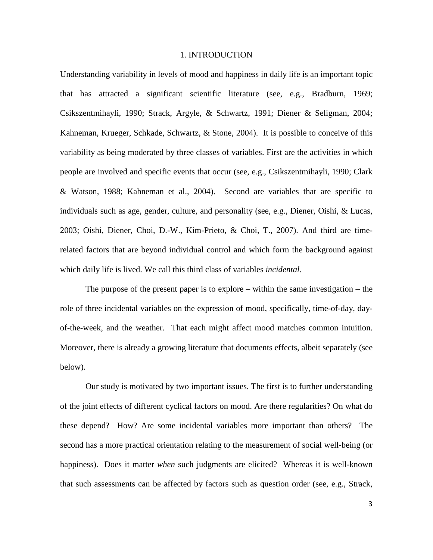# 1. INTRODUCTION

Understanding variability in levels of mood and happiness in daily life is an important topic that has attracted a significant scientific literature (see, e.g., Bradburn, 1969; Csikszentmihayli, 1990; Strack, Argyle, & Schwartz, 1991; Diener & Seligman, 2004; Kahneman, Krueger, Schkade, Schwartz, & Stone, 2004). It is possible to conceive of this variability as being moderated by three classes of variables. First are the activities in which people are involved and specific events that occur (see, e.g., Csikszentmihayli, 1990; Clark & Watson, 1988; Kahneman et al., 2004). Second are variables that are specific to individuals such as age, gender, culture, and personality (see, e.g., Diener, Oishi, & Lucas, 2003; Oishi, Diener, Choi, D.-W., Kim-Prieto, & Choi, T., 2007). And third are timerelated factors that are beyond individual control and which form the background against which daily life is lived. We call this third class of variables *incidental.*

The purpose of the present paper is to explore – within the same investigation – the role of three incidental variables on the expression of mood, specifically, time-of-day, dayof-the-week, and the weather. That each might affect mood matches common intuition. Moreover, there is already a growing literature that documents effects, albeit separately (see below).

Our study is motivated by two important issues. The first is to further understanding of the joint effects of different cyclical factors on mood. Are there regularities? On what do these depend? How? Are some incidental variables more important than others? The second has a more practical orientation relating to the measurement of social well-being (or happiness). Does it matter *when* such judgments are elicited? Whereas it is well-known that such assessments can be affected by factors such as question order (see, e.g., Strack,

3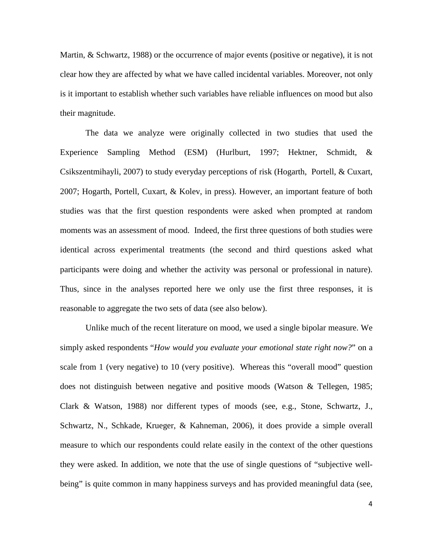Martin, & Schwartz, 1988) or the occurrence of major events (positive or negative), it is not clear how they are affected by what we have called incidental variables. Moreover, not only is it important to establish whether such variables have reliable influences on mood but also their magnitude.

The data we analyze were originally collected in two studies that used the Experience Sampling Method (ESM) (Hurlburt, 1997; Hektner, Schmidt, & Csikszentmihayli, 2007) to study everyday perceptions of risk (Hogarth, Portell, & Cuxart, 2007; Hogarth, Portell, Cuxart, & Kolev, in press). However, an important feature of both studies was that the first question respondents were asked when prompted at random moments was an assessment of mood. Indeed, the first three questions of both studies were identical across experimental treatments (the second and third questions asked what participants were doing and whether the activity was personal or professional in nature). Thus, since in the analyses reported here we only use the first three responses, it is reasonable to aggregate the two sets of data (see also below).

 Unlike much of the recent literature on mood, we used a single bipolar measure. We simply asked respondents "*How would you evaluate your emotional state right now?*" on a scale from 1 (very negative) to 10 (very positive). Whereas this "overall mood" question does not distinguish between negative and positive moods (Watson & Tellegen, 1985; Clark & Watson, 1988) nor different types of moods (see, e.g., Stone, Schwartz, J., Schwartz, N., Schkade, Krueger, & Kahneman, 2006), it does provide a simple overall measure to which our respondents could relate easily in the context of the other questions they were asked. In addition, we note that the use of single questions of "subjective wellbeing" is quite common in many happiness surveys and has provided meaningful data (see,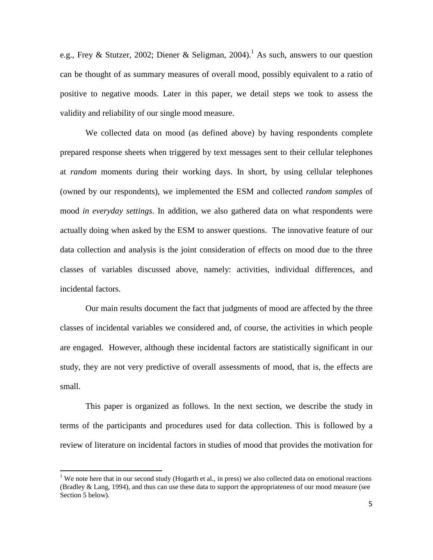e.g., Frey & Stutzer, 2002; Diener & Seligman, 2004).<sup>1</sup> As such, answers to our question can be thought of as summary measures of overall mood, possibly equivalent to a ratio of positive to negative moods. Later in this paper, we detail steps we took to assess the validity and reliability of our single mood measure.

We collected data on mood (as defined above) by having respondents complete prepared response sheets when triggered by text messages sent to their cellular telephones at *random* moments during their working days. In short, by using cellular telephones (owned by our respondents), we implemented the ESM and collected *random samples* of mood *in everyday settings*. In addition, we also gathered data on what respondents were actually doing when asked by the ESM to answer questions. The innovative feature of our data collection and analysis is the joint consideration of effects on mood due to the three classes of variables discussed above, namely: activities, individual differences, and incidental factors.

Our main results document the fact that judgments of mood are affected by the three classes of incidental variables we considered and, of course, the activities in which people are engaged. However, although these incidental factors are statistically significant in our study, they are not very predictive of overall assessments of mood, that is, the effects are small.

This paper is organized as follows. In the next section, we describe the study in terms of the participants and procedures used for data collection. This is followed by a review of literature on incidental factors in studies of mood that provides the motivation for

l

<sup>&</sup>lt;sup>1</sup> We note here that in our second study (Hogarth et al., in press) we also collected data on emotional reactions (Bradley & Lang, 1994), and thus can use these data to support the appropriateness of our mood measure (see Section 5 below).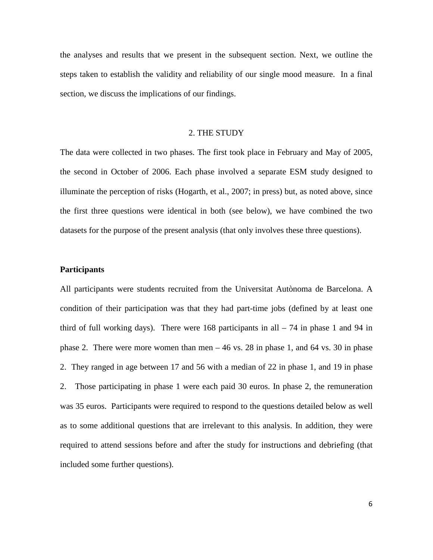the analyses and results that we present in the subsequent section. Next, we outline the steps taken to establish the validity and reliability of our single mood measure. In a final section, we discuss the implications of our findings.

# 2. THE STUDY

The data were collected in two phases. The first took place in February and May of 2005, the second in October of 2006. Each phase involved a separate ESM study designed to illuminate the perception of risks (Hogarth, et al., 2007; in press) but, as noted above, since the first three questions were identical in both (see below), we have combined the two datasets for the purpose of the present analysis (that only involves these three questions).

# **Participants**

All participants were students recruited from the Universitat Autònoma de Barcelona. A condition of their participation was that they had part-time jobs (defined by at least one third of full working days). There were 168 participants in all  $-74$  in phase 1 and 94 in phase 2. There were more women than men  $-46$  vs. 28 in phase 1, and 64 vs. 30 in phase 2. They ranged in age between 17 and 56 with a median of 22 in phase 1, and 19 in phase 2. Those participating in phase 1 were each paid 30 euros. In phase 2, the remuneration was 35 euros. Participants were required to respond to the questions detailed below as well as to some additional questions that are irrelevant to this analysis. In addition, they were required to attend sessions before and after the study for instructions and debriefing (that included some further questions).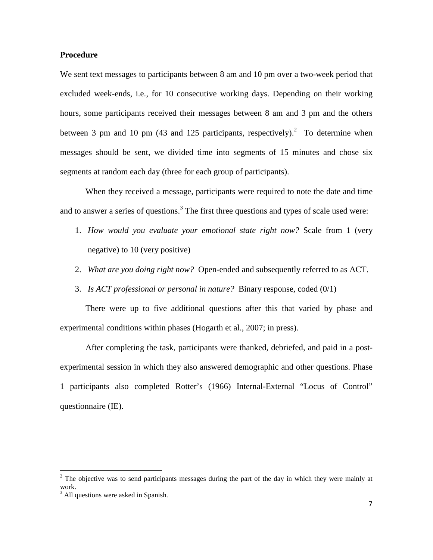# **Procedure**

We sent text messages to participants between 8 am and 10 pm over a two-week period that excluded week-ends, i.e., for 10 consecutive working days. Depending on their working hours, some participants received their messages between 8 am and 3 pm and the others between 3 pm and 10 pm (43 and 125 participants, respectively).<sup>2</sup> To determine when messages should be sent, we divided time into segments of 15 minutes and chose six segments at random each day (three for each group of participants).

When they received a message, participants were required to note the date and time and to answer a series of questions.<sup>3</sup> The first three questions and types of scale used were:

- 1. *How would you evaluate your emotional state right now?* Scale from 1 (very negative) to 10 (very positive)
- 2. *What are you doing right now?* Open-ended and subsequently referred to as ACT.
- 3. *Is ACT professional or personal in nature?* Binary response, coded (0/1)

There were up to five additional questions after this that varied by phase and experimental conditions within phases (Hogarth et al., 2007; in press).

After completing the task, participants were thanked, debriefed, and paid in a postexperimental session in which they also answered demographic and other questions. Phase 1 participants also completed Rotter's (1966) Internal-External "Locus of Control" questionnaire (IE).

l

 $2$  The objective was to send participants messages during the part of the day in which they were mainly at work.

<sup>&</sup>lt;sup>3</sup> All questions were asked in Spanish.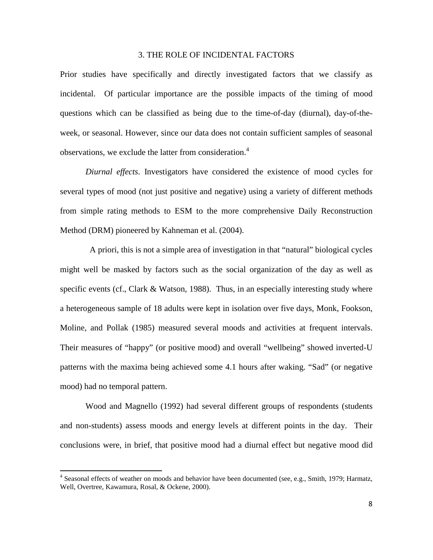# 3. THE ROLE OF INCIDENTAL FACTORS

Prior studies have specifically and directly investigated factors that we classify as incidental. Of particular importance are the possible impacts of the timing of mood questions which can be classified as being due to the time-of-day (diurnal), day-of-theweek, or seasonal. However, since our data does not contain sufficient samples of seasonal observations, we exclude the latter from consideration.<sup>4</sup>

*Diurnal effects*. Investigators have considered the existence of mood cycles for several types of mood (not just positive and negative) using a variety of different methods from simple rating methods to ESM to the more comprehensive Daily Reconstruction Method (DRM) pioneered by Kahneman et al. (2004).

 A priori, this is not a simple area of investigation in that "natural" biological cycles might well be masked by factors such as the social organization of the day as well as specific events (cf., Clark & Watson, 1988). Thus, in an especially interesting study where a heterogeneous sample of 18 adults were kept in isolation over five days, Monk, Fookson, Moline, and Pollak (1985) measured several moods and activities at frequent intervals. Their measures of "happy" (or positive mood) and overall "wellbeing" showed inverted-U patterns with the maxima being achieved some 4.1 hours after waking. "Sad" (or negative mood) had no temporal pattern.

Wood and Magnello (1992) had several different groups of respondents (students and non-students) assess moods and energy levels at different points in the day. Their conclusions were, in brief, that positive mood had a diurnal effect but negative mood did

l

<sup>&</sup>lt;sup>4</sup> Seasonal effects of weather on moods and behavior have been documented (see, e.g., Smith, 1979; Harmatz, Well, Overtree, Kawamura, Rosal, & Ockene, 2000).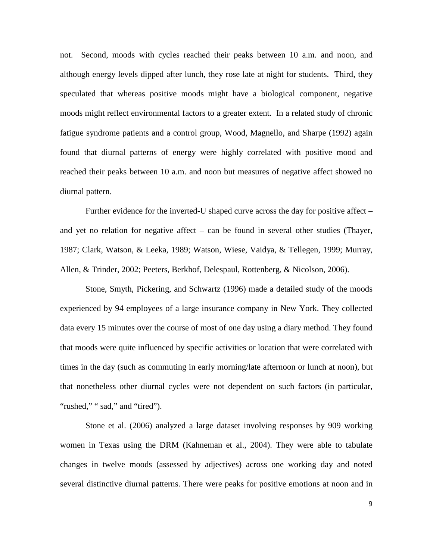not. Second, moods with cycles reached their peaks between 10 a.m. and noon, and although energy levels dipped after lunch, they rose late at night for students. Third, they speculated that whereas positive moods might have a biological component, negative moods might reflect environmental factors to a greater extent. In a related study of chronic fatigue syndrome patients and a control group, Wood, Magnello, and Sharpe (1992) again found that diurnal patterns of energy were highly correlated with positive mood and reached their peaks between 10 a.m. and noon but measures of negative affect showed no diurnal pattern.

Further evidence for the inverted-U shaped curve across the day for positive affect – and yet no relation for negative affect – can be found in several other studies (Thayer, 1987; Clark, Watson, & Leeka, 1989; Watson, Wiese, Vaidya, & Tellegen, 1999; Murray, Allen, & Trinder, 2002; Peeters, Berkhof, Delespaul, Rottenberg, & Nicolson, 2006).

Stone, Smyth, Pickering, and Schwartz (1996) made a detailed study of the moods experienced by 94 employees of a large insurance company in New York. They collected data every 15 minutes over the course of most of one day using a diary method. They found that moods were quite influenced by specific activities or location that were correlated with times in the day (such as commuting in early morning/late afternoon or lunch at noon), but that nonetheless other diurnal cycles were not dependent on such factors (in particular, "rushed," " sad," and "tired").

Stone et al. (2006) analyzed a large dataset involving responses by 909 working women in Texas using the DRM (Kahneman et al., 2004). They were able to tabulate changes in twelve moods (assessed by adjectives) across one working day and noted several distinctive diurnal patterns. There were peaks for positive emotions at noon and in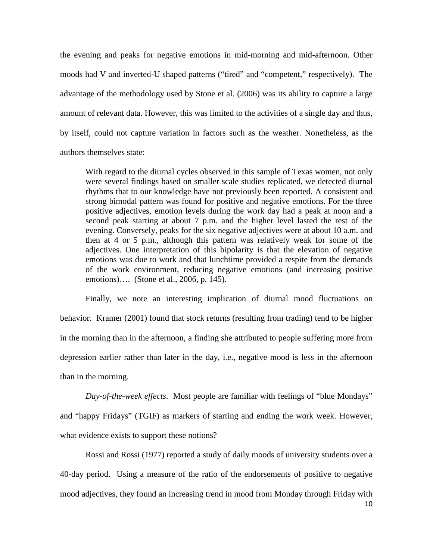the evening and peaks for negative emotions in mid-morning and mid-afternoon. Other moods had V and inverted-U shaped patterns ("tired" and "competent," respectively). The advantage of the methodology used by Stone et al. (2006) was its ability to capture a large amount of relevant data. However, this was limited to the activities of a single day and thus, by itself, could not capture variation in factors such as the weather. Nonetheless, as the authors themselves state:

With regard to the diurnal cycles observed in this sample of Texas women, not only were several findings based on smaller scale studies replicated, we detected diurnal rhythms that to our knowledge have not previously been reported. A consistent and strong bimodal pattern was found for positive and negative emotions. For the three positive adjectives, emotion levels during the work day had a peak at noon and a second peak starting at about 7 p.m. and the higher level lasted the rest of the evening. Conversely, peaks for the six negative adjectives were at about 10 a.m. and then at 4 or 5 p.m., although this pattern was relatively weak for some of the adjectives. One interpretation of this bipolarity is that the elevation of negative emotions was due to work and that lunchtime provided a respite from the demands of the work environment, reducing negative emotions (and increasing positive emotions)…. (Stone et al., 2006, p. 145).

Finally, we note an interesting implication of diurnal mood fluctuations on behavior. Kramer (2001) found that stock returns (resulting from trading) tend to be higher in the morning than in the afternoon, a finding she attributed to people suffering more from depression earlier rather than later in the day, i.e., negative mood is less in the afternoon than in the morning.

*Day-of-the-week effects*. Most people are familiar with feelings of "blue Mondays" and "happy Fridays" (TGIF) as markers of starting and ending the work week. However, what evidence exists to support these notions?

Rossi and Rossi (1977) reported a study of daily moods of university students over a 40-day period. Using a measure of the ratio of the endorsements of positive to negative mood adjectives, they found an increasing trend in mood from Monday through Friday with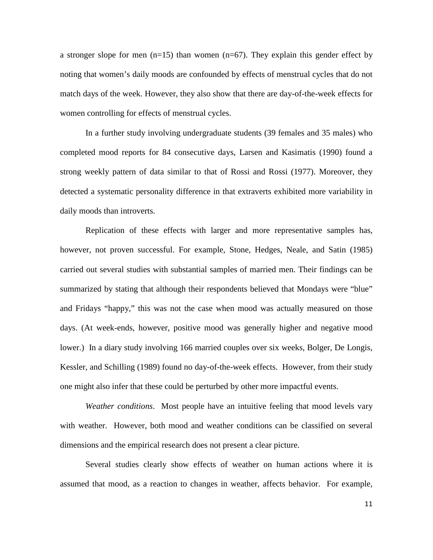a stronger slope for men  $(n=15)$  than women  $(n=67)$ . They explain this gender effect by noting that women's daily moods are confounded by effects of menstrual cycles that do not match days of the week. However, they also show that there are day-of-the-week effects for women controlling for effects of menstrual cycles.

In a further study involving undergraduate students (39 females and 35 males) who completed mood reports for 84 consecutive days, Larsen and Kasimatis (1990) found a strong weekly pattern of data similar to that of Rossi and Rossi (1977). Moreover, they detected a systematic personality difference in that extraverts exhibited more variability in daily moods than introverts.

Replication of these effects with larger and more representative samples has, however, not proven successful. For example, Stone, Hedges, Neale, and Satin (1985) carried out several studies with substantial samples of married men. Their findings can be summarized by stating that although their respondents believed that Mondays were "blue" and Fridays "happy," this was not the case when mood was actually measured on those days. (At week-ends, however, positive mood was generally higher and negative mood lower.) In a diary study involving 166 married couples over six weeks, Bolger, De Longis, Kessler, and Schilling (1989) found no day-of-the-week effects. However, from their study one might also infer that these could be perturbed by other more impactful events.

*Weather conditions*. Most people have an intuitive feeling that mood levels vary with weather. However, both mood and weather conditions can be classified on several dimensions and the empirical research does not present a clear picture.

Several studies clearly show effects of weather on human actions where it is assumed that mood, as a reaction to changes in weather, affects behavior. For example,

11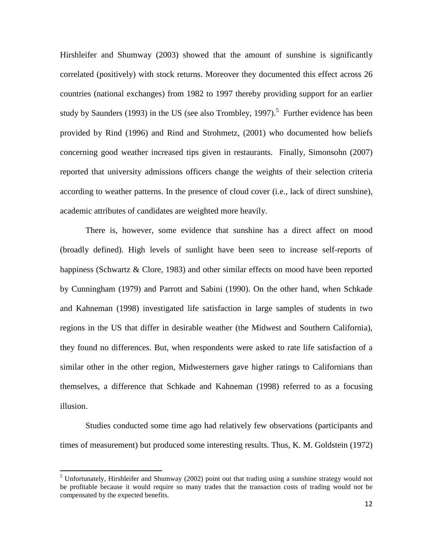Hirshleifer and Shumway (2003) showed that the amount of sunshine is significantly correlated (positively) with stock returns. Moreover they documented this effect across 26 countries (national exchanges) from 1982 to 1997 thereby providing support for an earlier study by Saunders (1993) in the US (see also Trombley, 1997).<sup>5</sup> Further evidence has been provided by Rind (1996) and Rind and Strohmetz, (2001) who documented how beliefs concerning good weather increased tips given in restaurants. Finally, Simonsohn (2007) reported that university admissions officers change the weights of their selection criteria according to weather patterns. In the presence of cloud cover (i.e., lack of direct sunshine), academic attributes of candidates are weighted more heavily.

There is, however, some evidence that sunshine has a direct affect on mood (broadly defined). High levels of sunlight have been seen to increase self-reports of happiness (Schwartz & Clore, 1983) and other similar effects on mood have been reported by Cunningham (1979) and Parrott and Sabini (1990). On the other hand, when Schkade and Kahneman (1998) investigated life satisfaction in large samples of students in two regions in the US that differ in desirable weather (the Midwest and Southern California), they found no differences. But, when respondents were asked to rate life satisfaction of a similar other in the other region, Midwesterners gave higher ratings to Californians than themselves, a difference that Schkade and Kahneman (1998) referred to as a focusing illusion.

Studies conducted some time ago had relatively few observations (participants and times of measurement) but produced some interesting results. Thus, K. M. Goldstein (1972)

l

<sup>&</sup>lt;sup>5</sup> Unfortunately, Hirshleifer and Shumway (2002) point out that trading using a sunshine strategy would not be profitable because it would require so many trades that the transaction costs of trading would not be compensated by the expected benefits.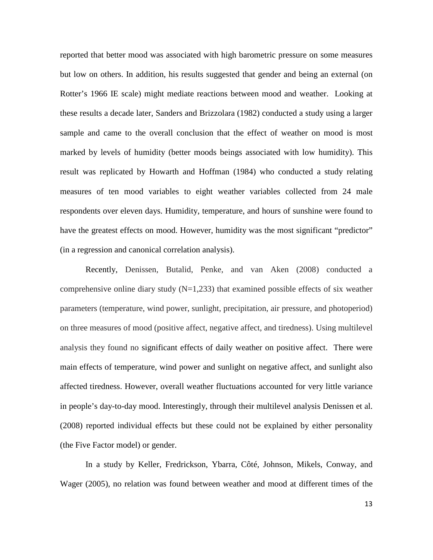reported that better mood was associated with high barometric pressure on some measures but low on others. In addition, his results suggested that gender and being an external (on Rotter's 1966 IE scale) might mediate reactions between mood and weather. Looking at these results a decade later, Sanders and Brizzolara (1982) conducted a study using a larger sample and came to the overall conclusion that the effect of weather on mood is most marked by levels of humidity (better moods beings associated with low humidity). This result was replicated by Howarth and Hoffman (1984) who conducted a study relating measures of ten mood variables to eight weather variables collected from 24 male respondents over eleven days. Humidity, temperature, and hours of sunshine were found to have the greatest effects on mood. However, humidity was the most significant "predictor" (in a regression and canonical correlation analysis).

Recently, Denissen, Butalid, Penke, and van Aken (2008) conducted a comprehensive online diary study  $(N=1,233)$  that examined possible effects of six weather parameters (temperature, wind power, sunlight, precipitation, air pressure, and photoperiod) on three measures of mood (positive affect, negative affect, and tiredness). Using multilevel analysis they found no significant effects of daily weather on positive affect. There were main effects of temperature, wind power and sunlight on negative affect, and sunlight also affected tiredness. However, overall weather fluctuations accounted for very little variance in people's day-to-day mood. Interestingly, through their multilevel analysis Denissen et al. (2008) reported individual effects but these could not be explained by either personality (the Five Factor model) or gender.

In a study by Keller, Fredrickson, Ybarra, Côté, Johnson, Mikels, Conway, and Wager (2005), no relation was found between weather and mood at different times of the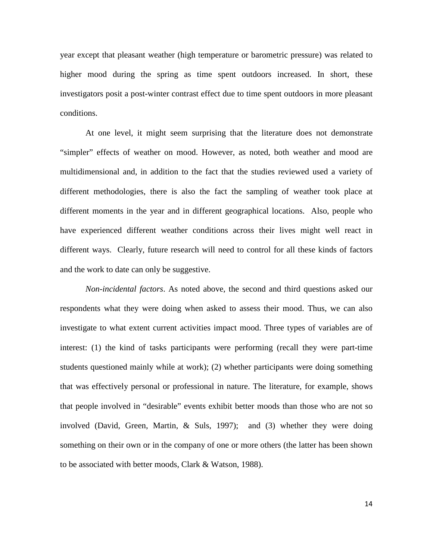year except that pleasant weather (high temperature or barometric pressure) was related to higher mood during the spring as time spent outdoors increased. In short, these investigators posit a post-winter contrast effect due to time spent outdoors in more pleasant conditions.

At one level, it might seem surprising that the literature does not demonstrate "simpler" effects of weather on mood. However, as noted, both weather and mood are multidimensional and, in addition to the fact that the studies reviewed used a variety of different methodologies, there is also the fact the sampling of weather took place at different moments in the year and in different geographical locations. Also, people who have experienced different weather conditions across their lives might well react in different ways. Clearly, future research will need to control for all these kinds of factors and the work to date can only be suggestive.

*Non-incidental factors*. As noted above, the second and third questions asked our respondents what they were doing when asked to assess their mood. Thus, we can also investigate to what extent current activities impact mood. Three types of variables are of interest: (1) the kind of tasks participants were performing (recall they were part-time students questioned mainly while at work); (2) whether participants were doing something that was effectively personal or professional in nature. The literature, for example, shows that people involved in "desirable" events exhibit better moods than those who are not so involved (David, Green, Martin, & Suls, 1997); and (3) whether they were doing something on their own or in the company of one or more others (the latter has been shown to be associated with better moods, Clark & Watson, 1988).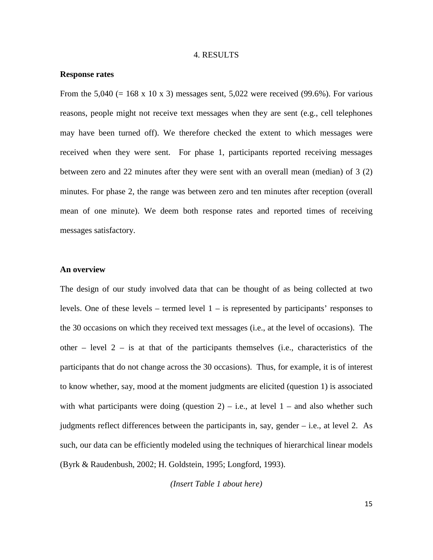### 4. RESULTS

#### **Response rates**

From the 5,040 (= 168 x 10 x 3) messages sent, 5,022 were received (99.6%). For various reasons, people might not receive text messages when they are sent (e.g., cell telephones may have been turned off). We therefore checked the extent to which messages were received when they were sent. For phase 1, participants reported receiving messages between zero and 22 minutes after they were sent with an overall mean (median) of 3 (2) minutes. For phase 2, the range was between zero and ten minutes after reception (overall mean of one minute). We deem both response rates and reported times of receiving messages satisfactory.

# **An overview**

The design of our study involved data that can be thought of as being collected at two levels. One of these levels – termed level  $1 -$  is represented by participants' responses to the 30 occasions on which they received text messages (i.e., at the level of occasions). The other – level  $2 - is$  at that of the participants themselves (i.e., characteristics of the participants that do not change across the 30 occasions). Thus, for example, it is of interest to know whether, say, mood at the moment judgments are elicited (question 1) is associated with what participants were doing (question 2) – i.e., at level  $1$  – and also whether such judgments reflect differences between the participants in, say, gender  $-$  i.e., at level 2. As such, our data can be efficiently modeled using the techniques of hierarchical linear models (Byrk & Raudenbush, 2002; H. Goldstein, 1995; Longford, 1993).

*(Insert Table 1 about here)*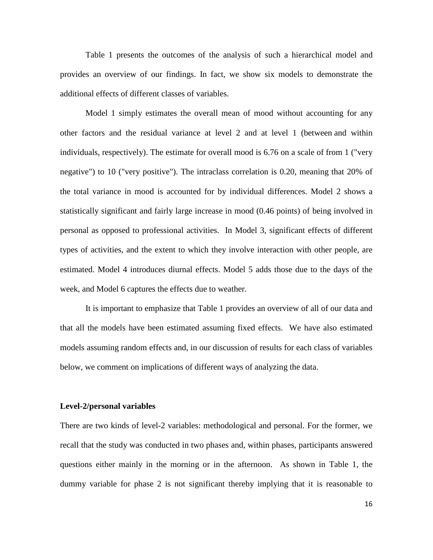Table 1 presents the outcomes of the analysis of such a hierarchical model and provides an overview of our findings. In fact, we show six models to demonstrate the additional effects of different classes of variables.

Model 1 simply estimates the overall mean of mood without accounting for any other factors and the residual variance at level 2 and at level 1 (between and within individuals, respectively). The estimate for overall mood is 6.76 on a scale of from 1 ("very negative") to 10 ("very positive"). The intraclass correlation is 0.20, meaning that 20% of the total variance in mood is accounted for by individual differences. Model 2 shows a statistically significant and fairly large increase in mood (0.46 points) of being involved in personal as opposed to professional activities. In Model 3, significant effects of different types of activities, and the extent to which they involve interaction with other people, are estimated. Model 4 introduces diurnal effects. Model 5 adds those due to the days of the week, and Model 6 captures the effects due to weather.

It is important to emphasize that Table 1 provides an overview of all of our data and that all the models have been estimated assuming fixed effects. We have also estimated models assuming random effects and, in our discussion of results for each class of variables below, we comment on implications of different ways of analyzing the data.

# **Level-2/personal variables**

There are two kinds of level-2 variables: methodological and personal. For the former, we recall that the study was conducted in two phases and, within phases, participants answered questions either mainly in the morning or in the afternoon. As shown in Table 1, the dummy variable for phase 2 is not significant thereby implying that it is reasonable to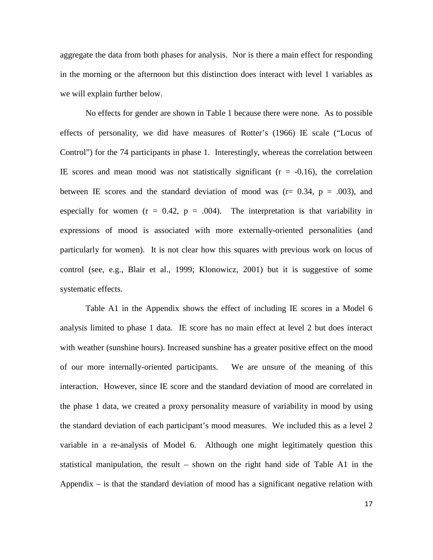aggregate the data from both phases for analysis. Nor is there a main effect for responding in the morning or the afternoon but this distinction does interact with level 1 variables as we will explain further below.

 No effects for gender are shown in Table 1 because there were none. As to possible effects of personality, we did have measures of Rotter's (1966) IE scale ("Locus of Control") for the 74 participants in phase 1. Interestingly, whereas the correlation between IE scores and mean mood was not statistically significant  $(r = -0.16)$ , the correlation between IE scores and the standard deviation of mood was  $(r= 0.34, p = .003)$ , and especially for women  $(r = 0.42, p = .004)$ . The interpretation is that variability in expressions of mood is associated with more externally-oriented personalities (and particularly for women). It is not clear how this squares with previous work on locus of control (see, e.g., Blair et al., 1999; Klonowicz, 2001) but it is suggestive of some systematic effects.

 Table A1 in the Appendix shows the effect of including IE scores in a Model 6 analysis limited to phase 1 data. IE score has no main effect at level 2 but does interact with weather (sunshine hours). Increased sunshine has a greater positive effect on the mood of our more internally-oriented participants. We are unsure of the meaning of this interaction. However, since IE score and the standard deviation of mood are correlated in the phase 1 data, we created a proxy personality measure of variability in mood by using the standard deviation of each participant's mood measures. We included this as a level 2 variable in a re-analysis of Model 6. Although one might legitimately question this statistical manipulation, the result – shown on the right hand side of Table A1 in the Appendix  $-$  is that the standard deviation of mood has a significant negative relation with

17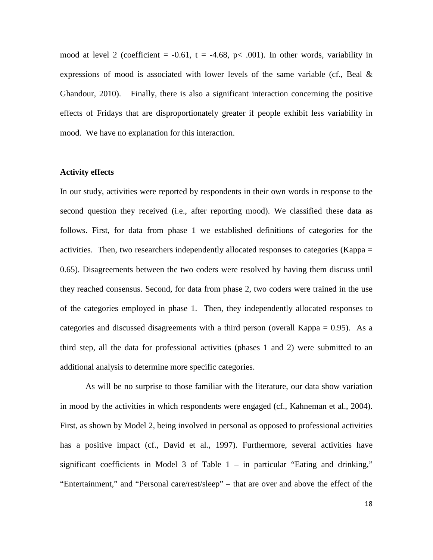mood at level 2 (coefficient =  $-0.61$ , t =  $-4.68$ , p< .001). In other words, variability in expressions of mood is associated with lower levels of the same variable (cf., Beal  $\&$ Ghandour, 2010). Finally, there is also a significant interaction concerning the positive effects of Fridays that are disproportionately greater if people exhibit less variability in mood. We have no explanation for this interaction.

# **Activity effects**

In our study, activities were reported by respondents in their own words in response to the second question they received (i.e., after reporting mood). We classified these data as follows. First, for data from phase 1 we established definitions of categories for the activities. Then, two researchers independently allocated responses to categories (Kappa = 0.65). Disagreements between the two coders were resolved by having them discuss until they reached consensus. Second, for data from phase 2, two coders were trained in the use of the categories employed in phase 1. Then, they independently allocated responses to categories and discussed disagreements with a third person (overall Kappa  $= 0.95$ ). As a third step, all the data for professional activities (phases 1 and 2) were submitted to an additional analysis to determine more specific categories.

As will be no surprise to those familiar with the literature, our data show variation in mood by the activities in which respondents were engaged (cf., Kahneman et al., 2004). First, as shown by Model 2, being involved in personal as opposed to professional activities has a positive impact (cf., David et al., 1997). Furthermore, several activities have significant coefficients in Model 3 of Table  $1 -$  in particular "Eating and drinking," "Entertainment," and "Personal care/rest/sleep" – that are over and above the effect of the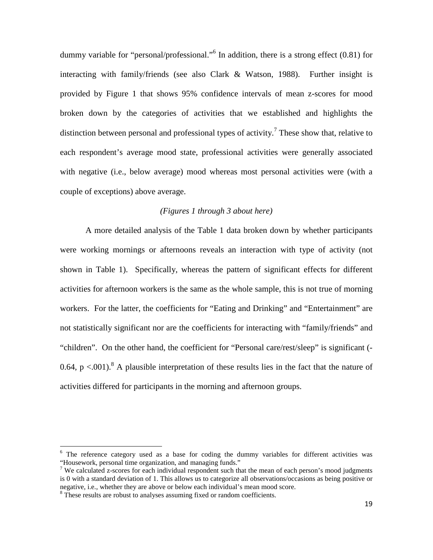dummy variable for "personal/professional."<sup>6</sup> In addition, there is a strong effect (0.81) for interacting with family/friends (see also Clark & Watson, 1988). Further insight is provided by Figure 1 that shows 95% confidence intervals of mean z-scores for mood broken down by the categories of activities that we established and highlights the distinction between personal and professional types of activity.<sup>7</sup> These show that, relative to each respondent's average mood state, professional activities were generally associated with negative (i.e., below average) mood whereas most personal activities were (with a couple of exceptions) above average.

# *(Figures 1 through 3 about here)*

 A more detailed analysis of the Table 1 data broken down by whether participants were working mornings or afternoons reveals an interaction with type of activity (not shown in Table 1). Specifically, whereas the pattern of significant effects for different activities for afternoon workers is the same as the whole sample, this is not true of morning workers. For the latter, the coefficients for "Eating and Drinking" and "Entertainment" are not statistically significant nor are the coefficients for interacting with "family/friends" and "children". On the other hand, the coefficient for "Personal care/rest/sleep" is significant (- 0.64,  $p < 0.01$ ).<sup>8</sup> A plausible interpretation of these results lies in the fact that the nature of activities differed for participants in the morning and afternoon groups.

l

<sup>&</sup>lt;sup>6</sup> The reference category used as a base for coding the dummy variables for different activities was "Housework, personal time organization, and managing funds."

<sup>&</sup>lt;sup>7</sup> We calculated z-scores for each individual respondent such that the mean of each person's mood judgments is 0 with a standard deviation of 1. This allows us to categorize all observations/occasions as being positive or negative, i.e., whether they are above or below each individual's mean mood score.

<sup>&</sup>lt;sup>8</sup> These results are robust to analyses assuming fixed or random coefficients.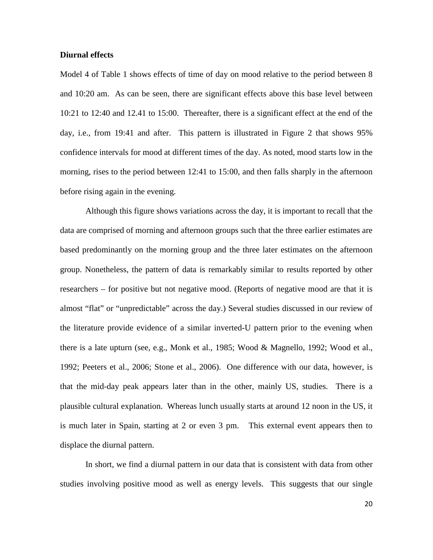# **Diurnal effects**

Model 4 of Table 1 shows effects of time of day on mood relative to the period between 8 and 10:20 am. As can be seen, there are significant effects above this base level between 10:21 to 12:40 and 12.41 to 15:00. Thereafter, there is a significant effect at the end of the day, i.e., from 19:41 and after. This pattern is illustrated in Figure 2 that shows 95% confidence intervals for mood at different times of the day. As noted, mood starts low in the morning, rises to the period between 12:41 to 15:00, and then falls sharply in the afternoon before rising again in the evening.

 Although this figure shows variations across the day, it is important to recall that the data are comprised of morning and afternoon groups such that the three earlier estimates are based predominantly on the morning group and the three later estimates on the afternoon group. Nonetheless, the pattern of data is remarkably similar to results reported by other researchers – for positive but not negative mood. (Reports of negative mood are that it is almost "flat" or "unpredictable" across the day.) Several studies discussed in our review of the literature provide evidence of a similar inverted-U pattern prior to the evening when there is a late upturn (see, e.g., Monk et al., 1985; Wood & Magnello, 1992; Wood et al., 1992; Peeters et al., 2006; Stone et al., 2006). One difference with our data, however, is that the mid-day peak appears later than in the other, mainly US, studies. There is a plausible cultural explanation. Whereas lunch usually starts at around 12 noon in the US, it is much later in Spain, starting at 2 or even 3 pm. This external event appears then to displace the diurnal pattern.

 In short, we find a diurnal pattern in our data that is consistent with data from other studies involving positive mood as well as energy levels. This suggests that our single

20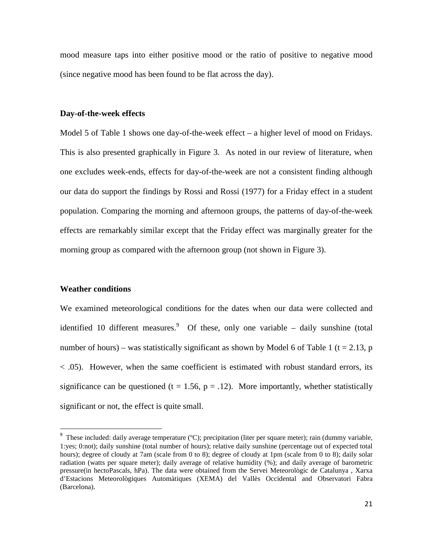mood measure taps into either positive mood or the ratio of positive to negative mood (since negative mood has been found to be flat across the day).

### **Day-of-the-week effects**

Model 5 of Table 1 shows one day-of-the-week effect – a higher level of mood on Fridays. This is also presented graphically in Figure 3. As noted in our review of literature, when one excludes week-ends, effects for day-of-the-week are not a consistent finding although our data do support the findings by Rossi and Rossi (1977) for a Friday effect in a student population. Comparing the morning and afternoon groups, the patterns of day-of-the-week effects are remarkably similar except that the Friday effect was marginally greater for the morning group as compared with the afternoon group (not shown in Figure 3).

# **Weather conditions**

 $\overline{a}$ 

We examined meteorological conditions for the dates when our data were collected and identified 10 different measures.  $9$  Of these, only one variable – daily sunshine (total number of hours) – was statistically significant as shown by Model 6 of Table 1 ( $t = 2.13$ , p < .05). However, when the same coefficient is estimated with robust standard errors, its significance can be questioned (t = 1.56,  $p = .12$ ). More importantly, whether statistically significant or not, the effect is quite small.

<sup>&</sup>lt;sup>9</sup> These included: daily average temperature (°C); precipitation (liter per square meter); rain (dummy variable, 1:yes; 0:not); daily sunshine (total number of hours); relative daily sunshine (percentage out of expected total hours); degree of cloudy at 7am (scale from 0 to 8); degree of cloudy at 1pm (scale from 0 to 8); daily solar radiation (watts per square meter); daily average of relative humidity (%); and daily average of barometric pressure(in hectoPascals, hPa). The data were obtained from the Servei Meteorològic de Catalunya , Xarxa d'Estacions Meteorològiques Automàtiques (XEMA) del Vallès Occidental and Observatori Fabra (Barcelona).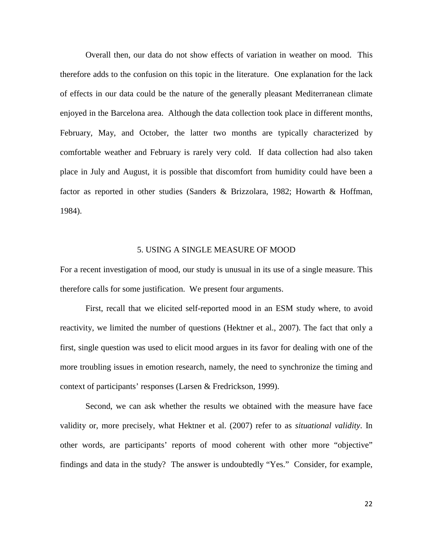Overall then, our data do not show effects of variation in weather on mood. This therefore adds to the confusion on this topic in the literature. One explanation for the lack of effects in our data could be the nature of the generally pleasant Mediterranean climate enjoyed in the Barcelona area. Although the data collection took place in different months, February, May, and October, the latter two months are typically characterized by comfortable weather and February is rarely very cold. If data collection had also taken place in July and August, it is possible that discomfort from humidity could have been a factor as reported in other studies (Sanders & Brizzolara, 1982; Howarth & Hoffman, 1984).

# 5. USING A SINGLE MEASURE OF MOOD

For a recent investigation of mood, our study is unusual in its use of a single measure. This therefore calls for some justification. We present four arguments.

First, recall that we elicited self-reported mood in an ESM study where, to avoid reactivity, we limited the number of questions (Hektner et al., 2007). The fact that only a first, single question was used to elicit mood argues in its favor for dealing with one of the more troubling issues in emotion research, namely, the need to synchronize the timing and context of participants' responses (Larsen & Fredrickson, 1999).

Second, we can ask whether the results we obtained with the measure have face validity or, more precisely, what Hektner et al. (2007) refer to as *situational validity*. In other words, are participants' reports of mood coherent with other more "objective" findings and data in the study? The answer is undoubtedly "Yes." Consider, for example,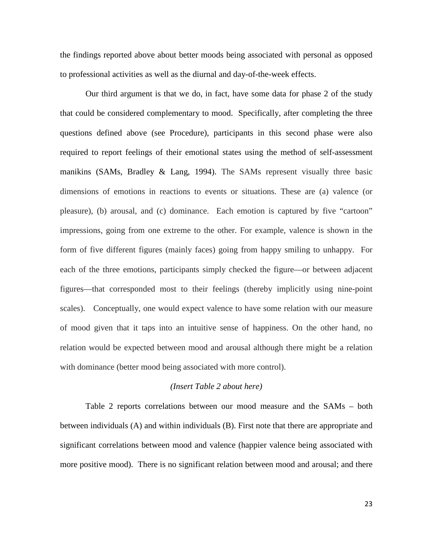the findings reported above about better moods being associated with personal as opposed to professional activities as well as the diurnal and day-of-the-week effects.

Our third argument is that we do, in fact, have some data for phase 2 of the study that could be considered complementary to mood. Specifically, after completing the three questions defined above (see Procedure), participants in this second phase were also required to report feelings of their emotional states using the method of self-assessment manikins (SAMs, Bradley & Lang, 1994). The SAMs represent visually three basic dimensions of emotions in reactions to events or situations. These are (a) valence (or pleasure), (b) arousal, and (c) dominance. Each emotion is captured by five "cartoon" impressions, going from one extreme to the other. For example, valence is shown in the form of five different figures (mainly faces) going from happy smiling to unhappy. For each of the three emotions, participants simply checked the figure—or between adjacent figures—that corresponded most to their feelings (thereby implicitly using nine-point scales). Conceptually, one would expect valence to have some relation with our measure of mood given that it taps into an intuitive sense of happiness. On the other hand, no relation would be expected between mood and arousal although there might be a relation with dominance (better mood being associated with more control).

# *(Insert Table 2 about here)*

 Table 2 reports correlations between our mood measure and the SAMs – both between individuals (A) and within individuals (B). First note that there are appropriate and significant correlations between mood and valence (happier valence being associated with more positive mood). There is no significant relation between mood and arousal; and there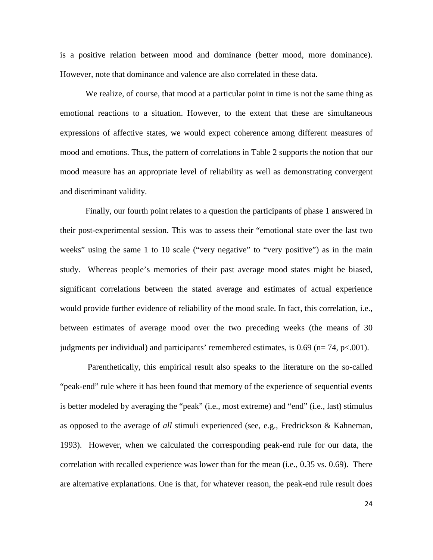is a positive relation between mood and dominance (better mood, more dominance). However, note that dominance and valence are also correlated in these data.

We realize, of course, that mood at a particular point in time is not the same thing as emotional reactions to a situation. However, to the extent that these are simultaneous expressions of affective states, we would expect coherence among different measures of mood and emotions. Thus, the pattern of correlations in Table 2 supports the notion that our mood measure has an appropriate level of reliability as well as demonstrating convergent and discriminant validity.

 Finally, our fourth point relates to a question the participants of phase 1 answered in their post-experimental session. This was to assess their "emotional state over the last two weeks" using the same 1 to 10 scale ("very negative" to "very positive") as in the main study. Whereas people's memories of their past average mood states might be biased, significant correlations between the stated average and estimates of actual experience would provide further evidence of reliability of the mood scale. In fact, this correlation, i.e., between estimates of average mood over the two preceding weeks (the means of 30 judgments per individual) and participants' remembered estimates, is  $0.69$  (n= 74, p<.001).

Parenthetically, this empirical result also speaks to the literature on the so-called "peak-end" rule where it has been found that memory of the experience of sequential events is better modeled by averaging the "peak" (i.e., most extreme) and "end" (i.e., last) stimulus as opposed to the average of *all* stimuli experienced (see, e.g., Fredrickson & Kahneman, 1993). However, when we calculated the corresponding peak-end rule for our data, the correlation with recalled experience was lower than for the mean (i.e., 0.35 vs. 0.69). There are alternative explanations. One is that, for whatever reason, the peak-end rule result does

24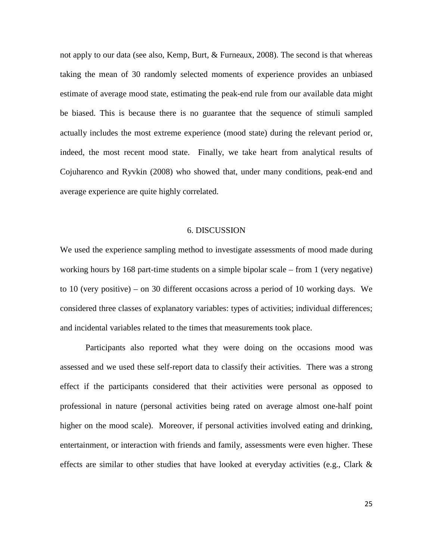not apply to our data (see also, Kemp, Burt, & Furneaux, 2008). The second is that whereas taking the mean of 30 randomly selected moments of experience provides an unbiased estimate of average mood state, estimating the peak-end rule from our available data might be biased. This is because there is no guarantee that the sequence of stimuli sampled actually includes the most extreme experience (mood state) during the relevant period or, indeed, the most recent mood state. Finally, we take heart from analytical results of Cojuharenco and Ryvkin (2008) who showed that, under many conditions, peak-end and average experience are quite highly correlated.

# 6. DISCUSSION

We used the experience sampling method to investigate assessments of mood made during working hours by 168 part-time students on a simple bipolar scale – from 1 (very negative) to 10 (very positive) – on 30 different occasions across a period of 10 working days. We considered three classes of explanatory variables: types of activities; individual differences; and incidental variables related to the times that measurements took place.

 Participants also reported what they were doing on the occasions mood was assessed and we used these self-report data to classify their activities. There was a strong effect if the participants considered that their activities were personal as opposed to professional in nature (personal activities being rated on average almost one-half point higher on the mood scale). Moreover, if personal activities involved eating and drinking, entertainment, or interaction with friends and family, assessments were even higher. These effects are similar to other studies that have looked at everyday activities (e.g., Clark &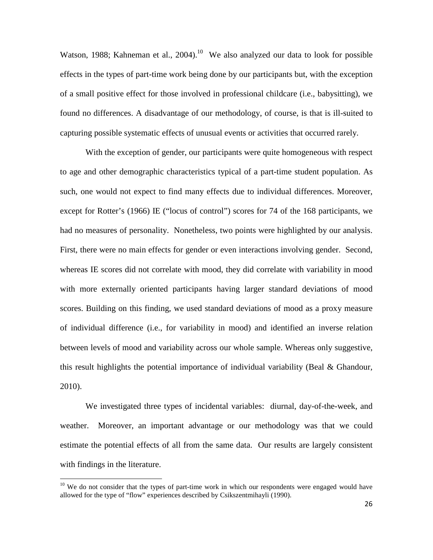Watson, 1988; Kahneman et al., 2004).<sup>10</sup> We also analyzed our data to look for possible effects in the types of part-time work being done by our participants but, with the exception of a small positive effect for those involved in professional childcare (i.e., babysitting), we found no differences. A disadvantage of our methodology, of course, is that is ill-suited to capturing possible systematic effects of unusual events or activities that occurred rarely.

 With the exception of gender, our participants were quite homogeneous with respect to age and other demographic characteristics typical of a part-time student population. As such, one would not expect to find many effects due to individual differences. Moreover, except for Rotter's (1966) IE ("locus of control") scores for 74 of the 168 participants, we had no measures of personality. Nonetheless, two points were highlighted by our analysis. First, there were no main effects for gender or even interactions involving gender. Second, whereas IE scores did not correlate with mood, they did correlate with variability in mood with more externally oriented participants having larger standard deviations of mood scores. Building on this finding, we used standard deviations of mood as a proxy measure of individual difference (i.e., for variability in mood) and identified an inverse relation between levels of mood and variability across our whole sample. Whereas only suggestive, this result highlights the potential importance of individual variability (Beal & Ghandour, 2010).

We investigated three types of incidental variables: diurnal, day-of-the-week, and weather. Moreover, an important advantage or our methodology was that we could estimate the potential effects of all from the same data. Our results are largely consistent with findings in the literature.

 $\overline{a}$ 

 $10$  We do not consider that the types of part-time work in which our respondents were engaged would have allowed for the type of "flow" experiences described by Csikszentmihayli (1990).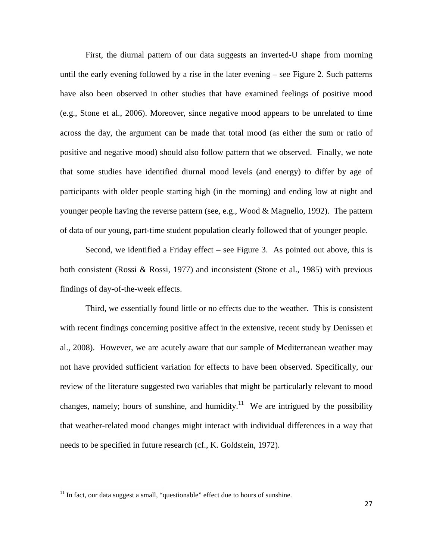First, the diurnal pattern of our data suggests an inverted-U shape from morning until the early evening followed by a rise in the later evening – see Figure 2. Such patterns have also been observed in other studies that have examined feelings of positive mood (e.g., Stone et al., 2006). Moreover, since negative mood appears to be unrelated to time across the day, the argument can be made that total mood (as either the sum or ratio of positive and negative mood) should also follow pattern that we observed. Finally, we note that some studies have identified diurnal mood levels (and energy) to differ by age of participants with older people starting high (in the morning) and ending low at night and younger people having the reverse pattern (see, e.g., Wood & Magnello, 1992). The pattern of data of our young, part-time student population clearly followed that of younger people.

 Second, we identified a Friday effect – see Figure 3. As pointed out above, this is both consistent (Rossi & Rossi, 1977) and inconsistent (Stone et al., 1985) with previous findings of day-of-the-week effects.

 Third, we essentially found little or no effects due to the weather. This is consistent with recent findings concerning positive affect in the extensive, recent study by Denissen et al., 2008). However, we are acutely aware that our sample of Mediterranean weather may not have provided sufficient variation for effects to have been observed. Specifically, our review of the literature suggested two variables that might be particularly relevant to mood changes, namely; hours of sunshine, and humidity.<sup>11</sup> We are intrigued by the possibility that weather-related mood changes might interact with individual differences in a way that needs to be specified in future research (cf., K. Goldstein, 1972).

 $\overline{a}$ 

 $11$  In fact, our data suggest a small, "questionable" effect due to hours of sunshine.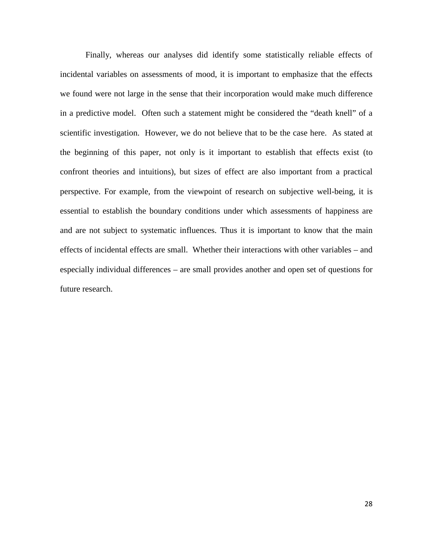Finally, whereas our analyses did identify some statistically reliable effects of incidental variables on assessments of mood, it is important to emphasize that the effects we found were not large in the sense that their incorporation would make much difference in a predictive model. Often such a statement might be considered the "death knell" of a scientific investigation. However, we do not believe that to be the case here. As stated at the beginning of this paper, not only is it important to establish that effects exist (to confront theories and intuitions), but sizes of effect are also important from a practical perspective. For example, from the viewpoint of research on subjective well-being, it is essential to establish the boundary conditions under which assessments of happiness are and are not subject to systematic influences. Thus it is important to know that the main effects of incidental effects are small. Whether their interactions with other variables – and especially individual differences – are small provides another and open set of questions for future research.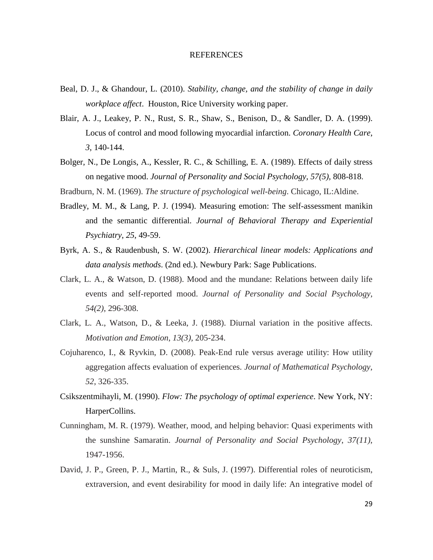#### **REFERENCES**

- Beal, D. J., & Ghandour, L. (2010). *Stability, change, and the stability of change in daily workplace affect*. Houston, Rice University working paper.
- Blair, A. J., Leakey, P. N., Rust, S. R., Shaw, S., Benison, D., & Sandler, D. A. (1999). Locus of control and mood following myocardial infarction. *Coronary Health Care*, *3*, 140-144.
- Bolger, N., De Longis, A., Kessler, R. C., & Schilling, E. A. (1989). Effects of daily stress on negative mood. *Journal of Personality and Social Psychology, 57(5),* 808-818.
- Bradburn, N. M. (1969). *The structure of psychological well-being*. Chicago, IL:Aldine.
- Bradley, M. M., & Lang, P. J. (1994). Measuring emotion: The self-assessment manikin and the semantic differential. *Journal of Behavioral Therapy and Experiential Psychiatry*, *25*, 49-59.
- Byrk, A. S., & Raudenbush, S. W. (2002). *Hierarchical linear models: Applications and data analysis methods*. (2nd ed.). Newbury Park: Sage Publications.
- Clark, L. A., & Watson, D. (1988). Mood and the mundane: Relations between daily life events and self-reported mood. *Journal of Personality and Social Psychology*, *54(2)*, 296-308.
- Clark, L. A., Watson, D., & Leeka, J. (1988). Diurnal variation in the positive affects. *Motivation and Emotion*, *13(3),* 205-234.
- Cojuharenco, I., & Ryvkin, D. (2008). Peak-End rule versus average utility: How utility aggregation affects evaluation of experiences. *Journal of Mathematical Psychology*, *52*, 326-335.
- Csikszentmihayli, M. (1990). *Flow: The psychology of optimal experience*. New York, NY: HarperCollins.
- Cunningham, M. R. (1979). Weather, mood, and helping behavior: Quasi experiments with the sunshine Samaratin. *Journal of Personality and Social Psychology*, *37(11)*, 1947-1956.
- David, J. P., Green, P. J., Martin, R., & Suls, J. (1997). Differential roles of neuroticism, extraversion, and event desirability for mood in daily life: An integrative model of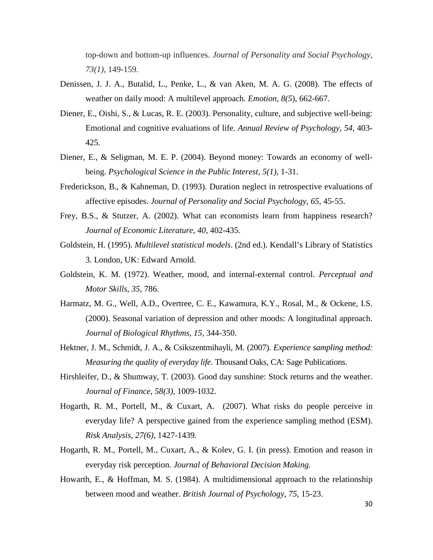top-down and bottom-up influences. *Journal of Personality and Social Psychology*, *73(1)*, 149-159.

- Denissen, J. J. A., Butalid, L., Penke, L., & van Aken, M. A. G. (2008). The effects of weather on daily mood: A multilevel approach. *Emotion*, *8(5*), 662-667.
- Diener, E., Oishi, S., & Lucas, R. E. (2003). Personality, culture, and subjective well-being: Emotional and cognitive evaluations of life. *Annual Review of Psychology*, *54*, 403- 425.
- Diener, E., & Seligman, M. E. P. (2004). Beyond money: Towards an economy of wellbeing. *Psychological Science in the Public Interest*, *5(1),* 1-31.
- Frederickson, B., & Kahneman, D. (1993). Duration neglect in retrospective evaluations of affective episodes. *Journal of Personality and Social Psychology*, *65*, 45-55.
- Frey, B.S., & Stutzer, A. (2002). What can economists learn from happiness research? *Journal of Economic Literature*, *40*, 402-435.
- Goldstein, H. (1995). *Multilevel statistical models*. (2nd ed.). Kendall's Library of Statistics 3. London, UK: Edward Arnold.
- Goldstein, K. M. (1972). Weather, mood, and internal-external control. *Perceptual and Motor Skills*, *35*, 786.
- Harmatz, M. G., Well, A.D., Overtree, C. E., Kawamura, K.Y., Rosal, M., & Ockene, I.S. (2000). Seasonal variation of depression and other moods: A longitudinal approach. *Journal of Biological Rhythms*, *15*, 344-350.
- Hektner, J. M., Schmidt, J. A., & Csikszentmihayli, M. (2007). *Experience sampling method: Measuring the quality of everyday life.* Thousand Oaks, CA: Sage Publications.
- Hirshleifer, D., & Shumway, T. (2003). Good day sunshine: Stock returns and the weather. *Journal of Finance*, *58(3),* 1009-1032.
- Hogarth, R. M., Portell, M., & Cuxart, A. (2007). What risks do people perceive in everyday life? A perspective gained from the experience sampling method (ESM). *Risk Analysis, 27(6)*, 1427-1439*.*
- Hogarth, R. M., Portell, M., Cuxart, A., & Kolev, G. I. (in press). Emotion and reason in everyday risk perception. *Journal of Behavioral Decision Making.*
- Howarth, E., & Hoffman, M. S. (1984). A multidimensional approach to the relationship between mood and weather. *British Journal of Psychology*, *75*, 15-23.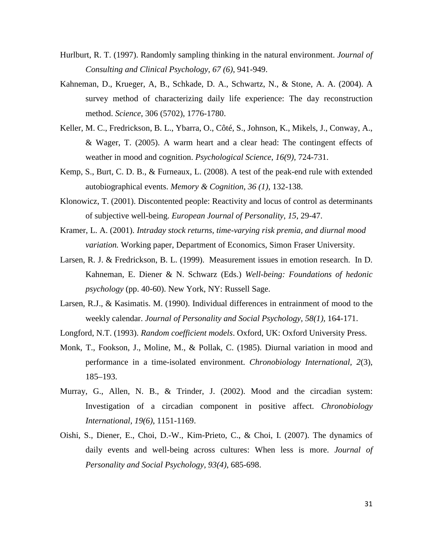- Hurlburt, R. T. (1997). Randomly sampling thinking in the natural environment. *Journal of Consulting and Clinical Psychology*, *67 (6)*, 941-949.
- Kahneman, D., Krueger, A, B., Schkade, D. A., Schwartz, N., & Stone, A. A. (2004). A survey method of characterizing daily life experience: The day reconstruction method. *Science*, 306 (5702), 1776-1780.
- Keller, M. C., Fredrickson, B. L., Ybarra, O., Côté, S., Johnson, K., Mikels, J., Conway, A., & Wager, T. (2005). A warm heart and a clear head: The contingent effects of weather in mood and cognition. *Psychological Science*, *16(9),* 724-731.
- Kemp, S., Burt, C. D. B., & Furneaux, L. (2008). A test of the peak-end rule with extended autobiographical events. *Memory & Cognition*, *36 (1)*, 132-138.
- Klonowicz, T. (2001). Discontented people: Reactivity and locus of control as determinants of subjective well-being. *European Journal of Personality*, *15*, 29-47.
- Kramer, L. A. (2001). *Intraday stock returns, time-varying risk premia, and diurnal mood variation.* Working paper, Department of Economics, Simon Fraser University.
- Larsen, R. J. & Fredrickson, B. L. (1999). Measurement issues in emotion research. In D. Kahneman, E. Diener & N. Schwarz (Eds.) *Well-being: Foundations of hedonic psychology* (pp. 40-60). New York, NY: Russell Sage.
- Larsen, R.J., & Kasimatis. M. (1990). Individual differences in entrainment of mood to the weekly calendar. *Journal of Personality and Social Psychology, 58(1),* 164-171.
- Longford, N.T. (1993). *Random coefficient models*. Oxford, UK: Oxford University Press.
- Monk, T., Fookson, J., Moline, M., & Pollak, C. (1985). Diurnal variation in mood and performance in a time-isolated environment. *Chronobiology International, 2*(3), 185–193.
- Murray, G., Allen, N. B., & Trinder, J. (2002). Mood and the circadian system: Investigation of a circadian component in positive affect. *Chronobiology International, 19(6)*, 1151-1169.
- Oishi, S., Diener, E., Choi, D.-W., Kim-Prieto, C., & Choi, I. (2007). The dynamics of daily events and well-being across cultures: When less is more. *Journal of Personality and Social Psychology, 93(4)*, 685-698.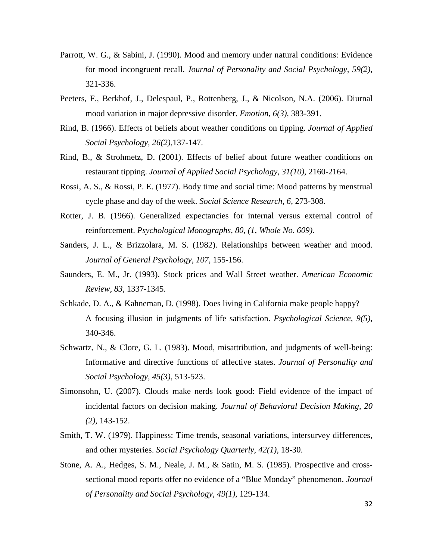- Parrott, W. G., & Sabini, J. (1990). Mood and memory under natural conditions: Evidence for mood incongruent recall. *Journal of Personality and Social Psychology, 59(2)*, 321-336.
- Peeters, F., Berkhof, J., Delespaul, P., Rottenberg, J., & Nicolson, N.A. (2006). Diurnal mood variation in major depressive disorder. *Emotion, 6(3),* 383-391.
- Rind, B. (1966). Effects of beliefs about weather conditions on tipping. *Journal of Applied Social Psychology, 26(2)*,137-147.
- Rind, B., & Strohmetz, D. (2001). Effects of belief about future weather conditions on restaurant tipping. *Journal of Applied Social Psychology, 31(10),* 2160-2164.
- Rossi, A. S., & Rossi, P. E. (1977). Body time and social time: Mood patterns by menstrual cycle phase and day of the week. *Social Science Research, 6*, 273-308.
- Rotter, J. B. (1966). Generalized expectancies for internal versus external control of reinforcement. *Psychological Monographs*, *80*, *(1, Whole No. 609).*
- Sanders, J. L., & Brizzolara, M. S. (1982). Relationships between weather and mood. *Journal of General Psychology, 107*, 155-156.
- Saunders, E. M., Jr. (1993). Stock prices and Wall Street weather. *American Economic Review, 83*, 1337-1345.
- Schkade, D. A., & Kahneman, D. (1998). Does living in California make people happy? A focusing illusion in judgments of life satisfaction. *Psychological Science, 9(5)*, 340-346.
- Schwartz, N., & Clore, G. L. (1983). Mood, misattribution, and judgments of well-being: Informative and directive functions of affective states. *Journal of Personality and Social Psychology, 45(3)*, 513-523.
- Simonsohn, U. (2007). Clouds make nerds look good: Field evidence of the impact of incidental factors on decision making. *Journal of Behavioral Decision Making, 20 (2),* 143-152.
- Smith, T. W. (1979). Happiness: Time trends, seasonal variations, intersurvey differences, and other mysteries. *Social Psychology Quarterly*, *42(1),* 18-30.
- Stone, A. A., Hedges, S. M., Neale, J. M., & Satin, M. S. (1985). Prospective and crosssectional mood reports offer no evidence of a "Blue Monday" phenomenon. *Journal of Personality and Social Psychology, 49(1)*, 129-134.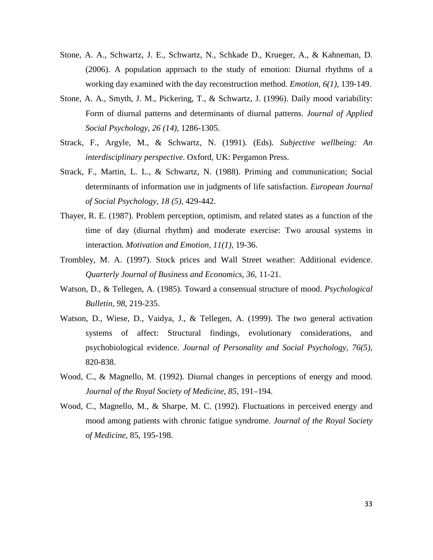- Stone, A. A., Schwartz, J. E., Schwartz, N., Schkade D., Krueger, A., & Kahneman, D. (2006). A population approach to the study of emotion: Diurnal rhythms of a working day examined with the day reconstruction method. *Emotion, 6(1),* 139-149.
- Stone, A. A., Smyth, J. M., Pickering, T., & Schwartz, J. (1996). Daily mood variability: Form of diurnal patterns and determinants of diurnal patterns. *Journal of Applied Social Psychology, 26 (14)*, 1286-1305.
- Strack, F., Argyle, M., & Schwartz, N. (1991). (Eds). *Subjective wellbeing: An interdisciplinary perspective*. Oxford, UK: Pergamon Press.
- Strack, F., Martin, L. L., & Schwartz, N. (1988). Priming and communication; Social determinants of information use in judgments of life satisfaction. *European Journal of Social Psychology, 18 (5)*, 429-442.
- Thayer, R. E. (1987). Problem perception, optimism, and related states as a function of the time of day (diurnal rhythm) and moderate exercise: Two arousal systems in interaction. *Motivation and Emotion, 11(1),* 19-36.
- Trombley, M. A. (1997). Stock prices and Wall Street weather: Additional evidence. *Quarterly Journal of Business and Economics, 36*, 11-21.
- Watson, D., & Tellegen, A. (1985). Toward a consensual structure of mood. *Psychological Bulletin, 98*, 219-235.
- Watson, D., Wiese, D., Vaidya, J., & Tellegen, A. (1999). The two general activation systems of affect: Structural findings, evolutionary considerations, and psychobiological evidence. *Journal of Personality and Social Psychology, 76(5)*, 820-838.
- Wood, C., & Magnello, M. (1992). Diurnal changes in perceptions of energy and mood. *Journal of the Royal Society of Medicine*, *85*, 191–194.
- Wood, C., Magnello, M., & Sharpe, M. C. (1992). Fluctuations in perceived energy and mood among patients with chronic fatigue syndrome. *Journal of the Royal Society of Medicine*, 85, 195-198.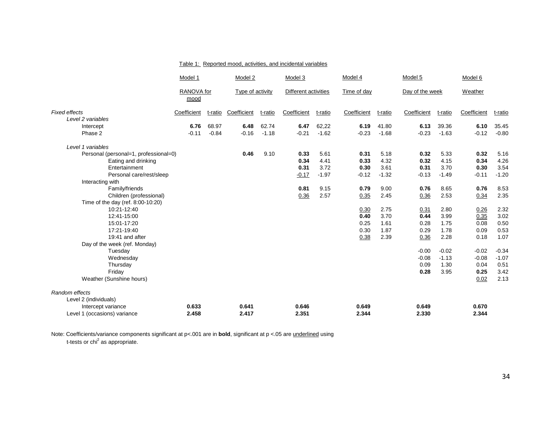|                                           | Model 1            |         | Model 2          |         | Model 3              |         | Model 4     |         | Model 5         |         | Model 6     |         |
|-------------------------------------------|--------------------|---------|------------------|---------|----------------------|---------|-------------|---------|-----------------|---------|-------------|---------|
|                                           | RANOVA for<br>mood |         | Type of activity |         | Different activities |         | Time of day |         | Day of the week |         | Weather     |         |
| <b>Fixed effects</b><br>Level 2 variables | Coefficient        | t-ratio | Coefficient      | t-ratio | Coefficient          | t-ratio | Coefficient | t-ratio | Coefficient     | t-ratio | Coefficient | t-ratio |
| Intercept                                 | 6.76               | 68.97   | 6.48             | 62.74   | 6.47                 | 62,22   | 6.19        | 41.80   | 6.13            | 39.36   | 6.10        | 35.45   |
| Phase 2                                   | $-0.11$            | $-0.84$ | $-0.16$          | $-1.18$ | $-0.21$              | $-1.62$ | $-0.23$     | $-1.68$ | $-0.23$         | $-1.63$ | $-0.12$     | $-0.80$ |
| Level 1 variables                         |                    |         |                  |         |                      |         |             |         |                 |         |             |         |
| Personal (personal=1, professional=0)     |                    |         | 0.46             | 9.10    | 0.33                 | 5.61    | 0.31        | 5.18    | 0.32            | 5.33    | 0.32        | 5.16    |
| Eating and drinking                       |                    |         |                  |         | 0.34                 | 4.41    | 0.33        | 4.32    | 0.32            | 4.15    | 0.34        | 4.26    |
| Entertainment                             |                    |         |                  |         | 0.31                 | 3.72    | 0.30        | 3.61    | 0.31            | 3.70    | 0.30        | 3.54    |
| Personal care/rest/sleep                  |                    |         |                  |         | $-0.17$              | $-1.97$ | $-0.12$     | $-1.32$ | $-0.13$         | $-1.49$ | $-0.11$     | $-1.20$ |
| Interacting with                          |                    |         |                  |         |                      |         |             |         |                 |         |             |         |
| Family/friends                            |                    |         |                  |         | 0.81                 | 9.15    | 0.79        | 9.00    | 0.76            | 8.65    | 0.76        | 8.53    |
| Children (professional)                   |                    |         |                  |         | 0.36                 | 2.57    | 0.35        | 2.45    | 0.36            | 2.53    | 0.34        | 2.35    |
| Time of the day (ref. 8:00-10:20)         |                    |         |                  |         |                      |         |             |         |                 |         |             |         |
| 10:21-12:40                               |                    |         |                  |         |                      |         | 0.30        | 2.75    | 0.31            | 2.80    | 0.26        | 2.32    |
| 12:41-15:00                               |                    |         |                  |         |                      |         | 0.40        | 3.70    | 0.44            | 3.99    | 0.35        | 3.02    |
| 15:01-17:20                               |                    |         |                  |         |                      |         | 0.25        | 1.61    | 0.28            | 1.75    | 0.08        | 0.50    |
| 17:21-19:40                               |                    |         |                  |         |                      |         | 0.30        | 1.87    | 0.29            | 1.78    | 0.09        | 0.53    |
| 19:41 and after                           |                    |         |                  |         |                      |         | 0.38        | 2.39    | 0.36            | 2.28    | 0.18        | 1.07    |
| Day of the week (ref. Monday)             |                    |         |                  |         |                      |         |             |         |                 |         |             |         |
| Tuesday                                   |                    |         |                  |         |                      |         |             |         | $-0.00$         | $-0.02$ | $-0.02$     | $-0.34$ |
| Wednesday                                 |                    |         |                  |         |                      |         |             |         | $-0.08$         | $-1.13$ | $-0.08$     | $-1.07$ |
| Thursday                                  |                    |         |                  |         |                      |         |             |         | 0.09            | 1.30    | 0.04        | 0.51    |
| Friday                                    |                    |         |                  |         |                      |         |             |         | 0.28            | 3.95    | 0.25        | 3.42    |
| Weather (Sunshine hours)                  |                    |         |                  |         |                      |         |             |         |                 |         | 0.02        | 2.13    |
| Random effects                            |                    |         |                  |         |                      |         |             |         |                 |         |             |         |
| Level 2 (individuals)                     |                    |         |                  |         |                      |         |             |         |                 |         |             |         |
| Intercept variance                        | 0.633              |         | 0.641            |         | 0.646                |         | 0.649       |         | 0.649           |         | 0.670       |         |
| Level 1 (occasions) variance              | 2.458              |         | 2.417            |         | 2.351                |         | 2.344       |         | 2.330           |         | 2.344       |         |

#### Table 1: Reported mood, activities, and incidental variables

Note: Coefficients/variance components significant at p<.001 are in **bold**, significant at p <.05 are <u>underlined</u> using<br>t-tests or chi<sup>2</sup> as appropriate.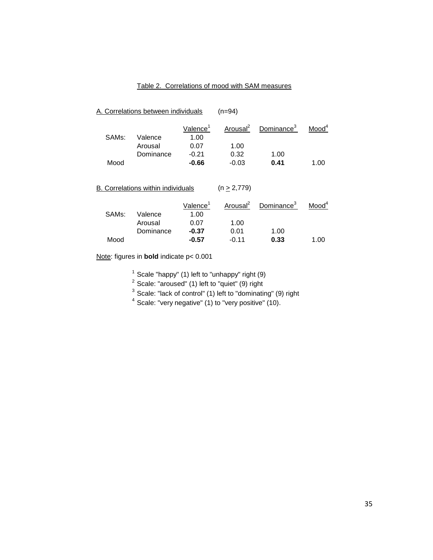# Table 2. Correlations of mood with SAM measures

| A. Correlations between individuals |                                    |                              | $(n=94)$             |                        |                   |  |  |  |
|-------------------------------------|------------------------------------|------------------------------|----------------------|------------------------|-------------------|--|--|--|
| SAM <sub>s</sub> :                  | Valence                            | Valence <sup>1</sup><br>1.00 | Arousal <sup>2</sup> | Dominance <sup>3</sup> | Mood <sup>4</sup> |  |  |  |
|                                     | Arousal                            | 0.07                         | 1.00                 |                        |                   |  |  |  |
|                                     | Dominance                          | $-0.21$                      | 0.32                 | 1.00                   |                   |  |  |  |
| Mood                                |                                    | $-0.66$                      | $-0.03$              | 0.41                   | 1.00              |  |  |  |
|                                     | B. Correlations within individuals |                              | $(n \geq 2,779)$     |                        |                   |  |  |  |
|                                     |                                    | Valence <sup>1</sup>         | Arousal <sup>2</sup> | Dominance <sup>3</sup> | Mod <sup>4</sup>  |  |  |  |
| SAM <sub>S</sub> :                  | Valence                            | 1.00                         |                      |                        |                   |  |  |  |
|                                     | Arousal                            | 0.07                         | 1.00                 |                        |                   |  |  |  |
|                                     | Dominance                          | $-0.37$                      | 0.01                 | 1.00                   |                   |  |  |  |
| Mood                                |                                    | $-0.57$                      | $-0.11$              | 0.33                   | 1.00              |  |  |  |
|                                     |                                    |                              |                      |                        |                   |  |  |  |

Note: figures in **bold** indicate p< 0.001

<sup>1</sup> Scale "happy" (1) left to "unhappy" right (9)<br><sup>2</sup> Scale: "aroused" (1) left to "quiet" (9) right<br><sup>3</sup> Scale: "lack of control" (1) left to "dominating" (9) right

 $4$  Scale: "very negative" (1) to "very positive" (10).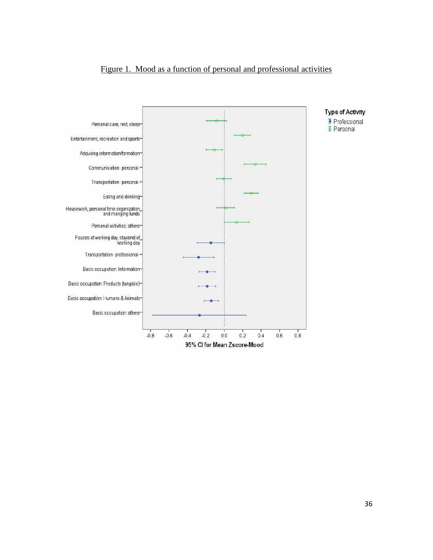# Figure 1. Mood as a function of personal and professional activities

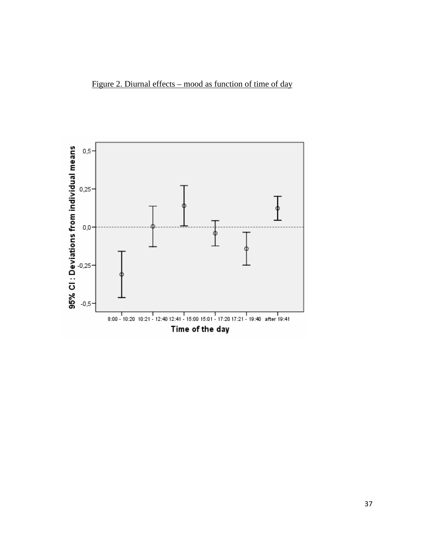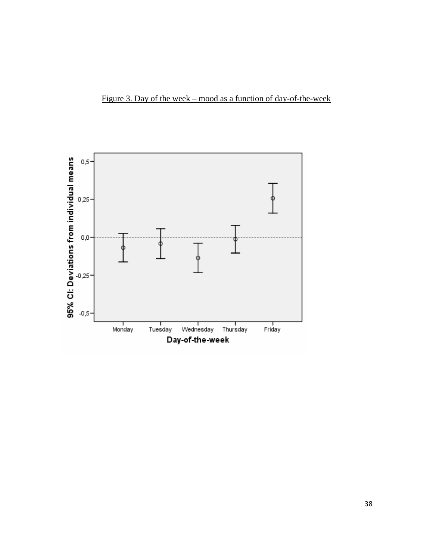